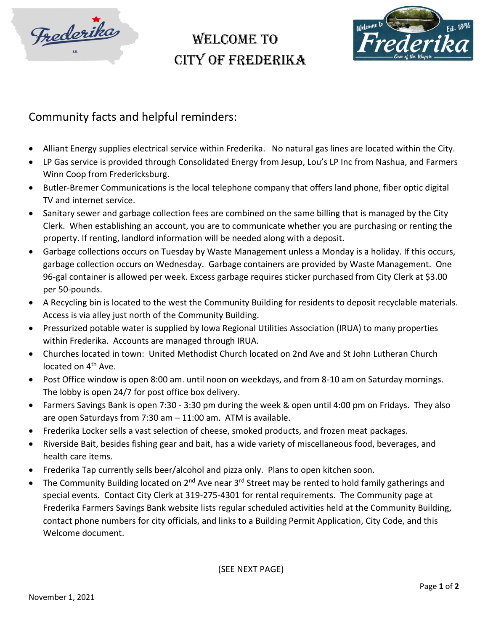

## WELCOME TO City of Frederika



## Community facts and helpful reminders:

- Alliant Energy supplies electrical service within Frederika. No natural gas lines are located within the City.
- LP Gas service is provided through Consolidated Energy from Jesup, Lou's LP Inc from Nashua, and Farmers Winn Coop from Fredericksburg.
- Butler-Bremer Communications is the local telephone company that offers land phone, fiber optic digital TV and internet service.
- Sanitary sewer and garbage collection fees are combined on the same billing that is managed by the City Clerk. When establishing an account, you are to communicate whether you are purchasing or renting the property. If renting, landlord information will be needed along with a deposit.
- Garbage collections occurs on Tuesday by Waste Management unless a Monday is a holiday. If this occurs, garbage collection occurs on Wednesday. Garbage containers are provided by Waste Management. One 96-gal container is allowed per week. Excess garbage requires sticker purchased from City Clerk at \$3.00 per 50-pounds.
- A Recycling bin is located to the west the Community Building for residents to deposit recyclable materials. Access is via alley just north of the Community Building.
- Pressurized potable water is supplied by Iowa Regional Utilities Association (IRUA) to many properties within Frederika. Accounts are managed through IRUA.
- Churches located in town: United Methodist Church located on 2nd Ave and St John Lutheran Church located on 4<sup>th</sup> Ave.
- Post Office window is open 8:00 am. until noon on weekdays, and from 8-10 am on Saturday mornings. The lobby is open 24/7 for post office box delivery.
- Farmers Savings Bank is open 7:30 3:30 pm during the week & open until 4:00 pm on Fridays. They also are open Saturdays from 7:30 am – 11:00 am. ATM is available.
- Frederika Locker sells a vast selection of cheese, smoked products, and frozen meat packages.
- Riverside Bait, besides fishing gear and bait, has a wide variety of miscellaneous food, beverages, and health care items.
- Frederika Tap currently sells beer/alcohol and pizza only. Plans to open kitchen soon.
- The Community Building located on 2<sup>nd</sup> Ave near 3<sup>rd</sup> Street may be rented to hold family gatherings and special events. Contact City Clerk at 319-275-4301 for rental requirements. The Community page at Frederika Farmers Savings Bank website lists regular scheduled activities held at the Community Building, contact phone numbers for city officials, and links to a Building Permit Application, City Code, and this Welcome document.

(SEE NEXT PAGE)